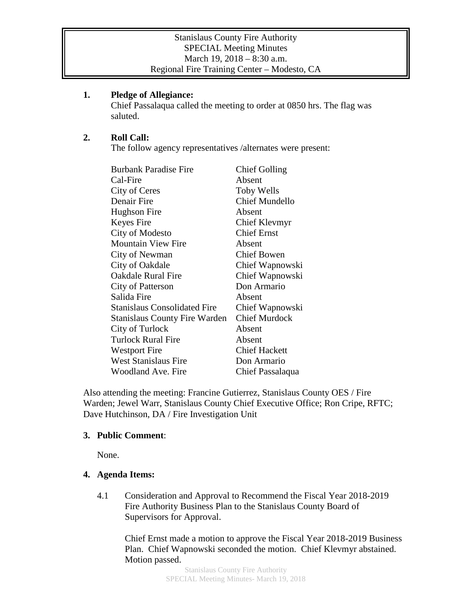#### Stanislaus County Fire Authority SPECIAL Meeting Minutes March 19, 2018 – 8:30 a.m. Regional Fire Training Center – Modesto, CA

# **1. Pledge of Allegiance:**

Chief Passalaqua called the meeting to order at 0850 hrs. The flag was saluted.

# **2. Roll Call:**

The follow agency representatives /alternates were present:

| <b>Burbank Paradise Fire</b>         | <b>Chief Golling</b>  |
|--------------------------------------|-----------------------|
| Cal-Fire                             | Absent                |
| City of Ceres                        | <b>Toby Wells</b>     |
| Denair Fire                          | <b>Chief Mundello</b> |
| Hughson Fire                         | Absent                |
| Keyes Fire                           | Chief Klevmyr         |
| City of Modesto                      | <b>Chief Ernst</b>    |
| <b>Mountain View Fire</b>            | Absent                |
| City of Newman                       | <b>Chief Bowen</b>    |
| City of Oakdale                      | Chief Wapnowski       |
| Oakdale Rural Fire                   | Chief Wapnowski       |
| City of Patterson                    | Don Armario           |
| Salida Fire                          | Absent                |
| <b>Stanislaus Consolidated Fire</b>  | Chief Wapnowski       |
| <b>Stanislaus County Fire Warden</b> | <b>Chief Murdock</b>  |
| City of Turlock                      | Absent                |
| <b>Turlock Rural Fire</b>            | Absent                |
| <b>Westport Fire</b>                 | <b>Chief Hackett</b>  |
| <b>West Stanislaus Fire</b>          | Don Armario           |
| Woodland Ave. Fire                   | Chief Passalaqua      |

Also attending the meeting: Francine Gutierrez, Stanislaus County OES / Fire Warden; Jewel Warr, Stanislaus County Chief Executive Office; Ron Cripe, RFTC; Dave Hutchinson, DA / Fire Investigation Unit

#### **3. Public Comment**:

None.

# **4. Agenda Items:**

4.1 Consideration and Approval to Recommend the Fiscal Year 2018-2019 Fire Authority Business Plan to the Stanislaus County Board of Supervisors for Approval.

Chief Ernst made a motion to approve the Fiscal Year 2018-2019 Business Plan. Chief Wapnowski seconded the motion. Chief Klevmyr abstained. Motion passed.